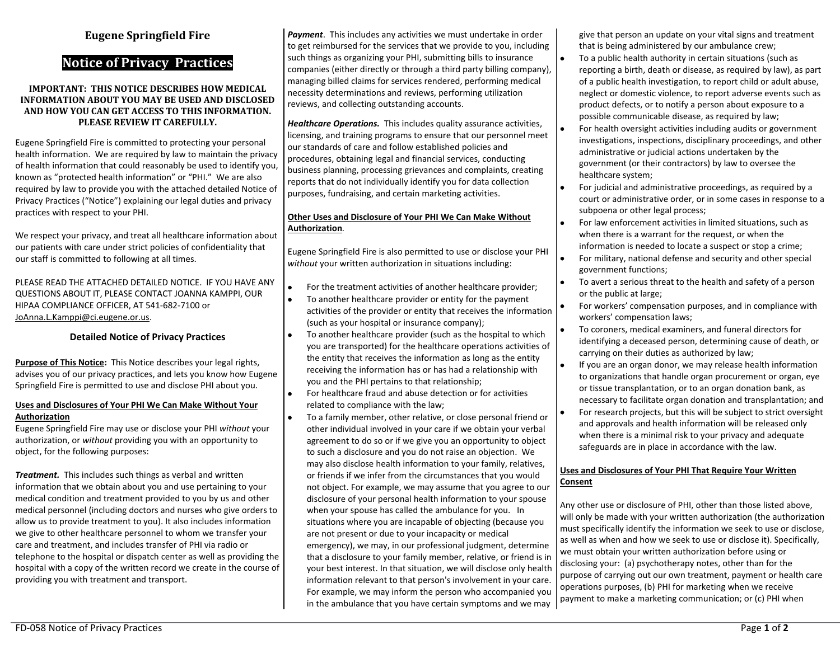# **Eugene Springfield Fire**

# **Notice of Privacy Practices**

#### **IMPORTANT: THIS NOTICE DESCRIBES HOW MEDICAL INFORMATION ABOUT YOU MAY BE USED AND DISCLOSED AND HOW YOU CAN GET ACCESS TO THIS INFORMATION. PLEASE REVIEW IT CAREFULLY.**

Eugene Springfield Fire is committed to protecting your personal health information. We are required by law to maintain the privacy of health information that could reasonably be used to identify you, known as "protected health information" or "PHI." We are also required by law to provide you with the attached detailed Notice of Privacy Practices ("Notice") explaining our legal duties and privacy practices with respect to your PHI.

We respect your privacy, and treat all healthcare information about our patients with care under strict policies of confidentiality that our staff is committed to following at all times.

PLEASE READ THE ATTACHED DETAILED NOTICE. IF YOU HAVE ANY QUESTIONS ABOUT IT, PLEASE CONTACT JOANNA KAMPPI, OUR HIPAA COMPLIANCE OFFICER, AT 541-682-7100 or [JoAnna.L.Kamppi@ci.eugene.or.us.](mailto:JoAnna.L.Kamppi@ci.eugene.or.us)

## **Detailed Notice of Privacy Practices**

**Purpose of This Notice:**This Notice describes your legal rights, advises you of our privacy practices, and lets you know how Eugene Springfield Fire is permitted to use and disclose PHI about you.

#### **Uses and Disclosures of Your PHI We Can Make Without Your Authorization**

Eugene Springfield Fire may use or disclose your PHI *without* your authorization, or *without* providing you with an opportunity to object, for the following purposes:

*Treatment.* This includes such things as verbal and written information that we obtain about you and use pertaining to your medical condition and treatment provided to you by us and other medical personnel (including doctors and nurses who give orders to allow us to provide treatment to you). It also includes information we give to other healthcare personnel to whom we transfer your care and treatment, and includes transfer of PHI via radio or telephone to the hospital or dispatch center as well as providing the hospital with a copy of the written record we create in the course of providing you with treatment and transport.

*Payment*. This includes any activities we must undertake in order to get reimbursed for the services that we provide to you, including such things as organizing your PHI, submitting bills to insurance companies (either directly or through a third party billing company), managing billed claims for services rendered, performing medical necessity determinations and reviews, performing utilization reviews, and collecting outstanding accounts.

*Healthcare Operations.* This includes quality assurance activities, licensing, and training programs to ensure that our personnel meet our standards of care and follow established policies and procedures, obtaining legal and financial services, conducting business planning, processing grievances and complaints, creating reports that do not individually identify you for data collection purposes, fundraising, and certain marketing activities.

# **Other Uses and Disclosure of Your PHI We Can Make Without Authorization***.*

Eugene Springfield Fire is also permitted to use or disclose your PHI *without* your written authorization in situations including:

- For the treatment activities of another healthcare provider;<br>• To another healthcare provider or entity for the payment
- To another healthcare provider or entity for the payment activities of the provider or entity that receives the information (such as your hospital or insurance company);
- To another healthcare provider (such as the hospital to which you are transported) for the healthcare operations activities of the entity that receives the information as long as the entity receiving the information has or has had a relationship with you and the PHI pertains to that relationship;
- For healthcare fraud and abuse detection or for activities related to compliance with the law;
- To a family member, other relative, or close personal friend or other individual involved in your care if we obtain your verbal agreement to do so or if we give you an opportunity to object to such a disclosure and you do not raise an objection. We may also disclose health information to your family, relatives, or friends if we infer from the circumstances that you would not object. For example, we may assume that you agree to our disclosure of your personal health information to your spouse when your spouse has called the ambulance for you. In situations where you are incapable of objecting (because you are not present or due to your incapacity or medical emergency), we may, in our professional judgment, determine that a disclosure to your family member, relative, or friend is in your best interest. In that situation, we will disclose only health information relevant to that person's involvement in your care. For example, we may inform the person who accompanied you in the ambulance that you have certain symptoms and we may

give that person an update on your vital signs and treatment that is being administered by our ambulance crew;

- To a public health authority in certain situations (such as reporting a birth, death or disease, as required by law), as part of a public health investigation, to report child or adult abuse, neglect or domestic violence, to report adverse events such as product defects, or to notify a person about exposure to a possible communicable disease, as required by law;
- For health oversight activities including audits or government investigations, inspections, disciplinary proceedings, and other administrative or judicial actions undertaken by the government (or their contractors) by law to oversee the healthcare system;
- For judicial and administrative proceedings, as required by a court or administrative order, or in some cases in response to a subpoena or other legal process;
- For law enforcement activities in limited situations, such as when there is a warrant for the request, or when the information is needed to locate a suspect or stop a crime;
- For military, national defense and security and other special government functions;
- To avert a serious threat to the health and safety of a person or the public at large;
- For workers' compensation purposes, and in compliance with workers' compensation laws;
- To coroners, medical examiners, and funeral directors for identifying a deceased person, determining cause of death, or carrying on their duties as authorized by law;
- If you are an organ donor, we may release health information to organizations that handle organ procurement or organ, eye or tissue transplantation, or to an organ donation bank, as necessary to facilitate organ donation and transplantation; and
- For research projects, but this will be subject to strict oversight and approvals and health information will be released only when there is a minimal risk to your privacy and adequate safeguards are in place in accordance with the law.

## **Uses and Disclosures of Your PHI That Require Your Written Consent**

Any other use or disclosure of PHI, other than those listed above, will only be made with your written authorization (the authorization must specifically identify the information we seek to use or disclose, as well as when and how we seek to use or disclose it). Specifically, we must obtain your written authorization before using or disclosing your: (a) psychotherapy notes, other than for the purpose of carrying out our own treatment, payment or health care operations purposes, (b) PHI for marketing when we receive payment to make a marketing communication; or (c) PHI when